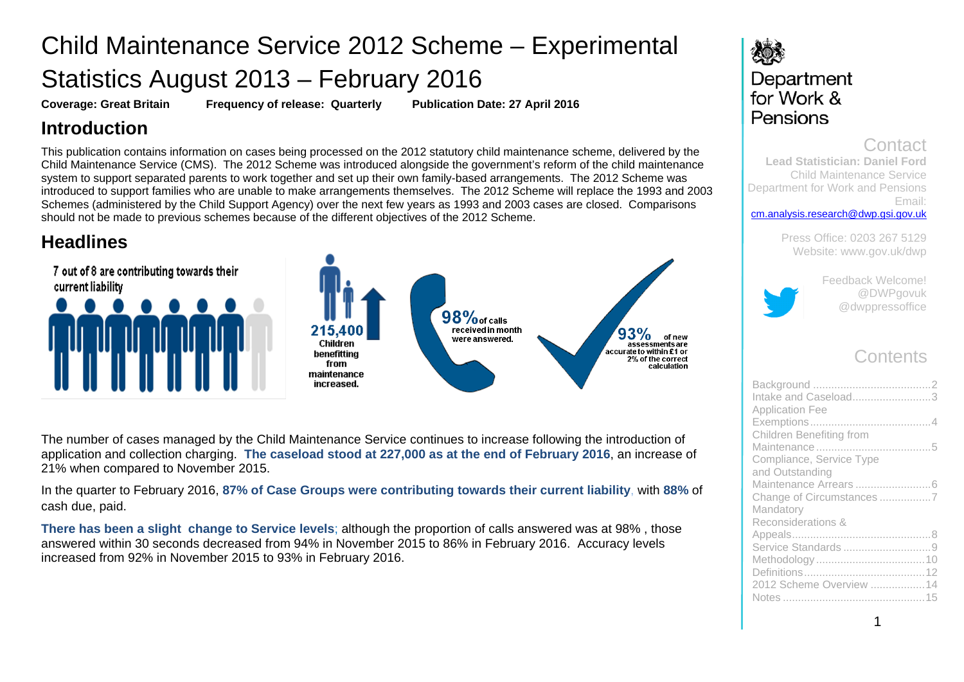# Child Maintenance Service 2012 Scheme – Experimental Statistics August 2013 – February 2016

**Coverage: Great Britain Frequency of release: Quarterly Publication Date: 27 April 2016**

## **Introduction**

This publication contains information on cases being processed on the 2012 statutory child maintenance scheme, delivered by the Child Maintenance Service (CMS). The 2012 Scheme was introduced alongside the government's reform of the child maintenance system to support separated parents to work together and set up their own family-based arrangements. The 2012 Scheme was introduced to support families who are unable to make arrangements themselves. The 2012 Scheme will replace the 1993 and 2003 Schemes (administered by the Child Support Agency) over the next few years as 1993 and 2003 cases are closed. Comparisons should not be made to previous schemes because of the different objectives of the 2012 Scheme.

## **Headlines**



The number of cases managed by the Child Maintenance Service continues to increase following the introduction of application and collection charging. **The caseload stood at 227,000 as at the end of February 2016**, an increase of 21% when compared to November 2015.

In the quarter to February 2016, **87% of Case Groups were contributing towards their current liability**, with **88%** of cash due, paid.

**There has been a slight change to Service levels**; although the proportion of calls answered was at 98% , those answered within 30 seconds decreased from 94% in November 2015 to 86% in February 2016. Accuracy levels increased from 92% in November 2015 to 93% in February 2016.

## 发展 Department for Work & Pensions

## Contact

**Lead Statistician: Daniel Ford** Child Maintenance Service Department for Work and Pensions Email: [cm.analysis.research@dwp.gsi.gov.uk](mailto:cm.analysis.research@dwp.gsi.gov.uk)

> Press Office: 0203 267 5129 Website: [www.gov.uk/dwp](http://www.gov.uk/dwp)



Feedback Welcome! @DWPgovuk @dwppressoffice

## **Contents**

| Intake and Caseload3<br><b>Application Fee</b> |  |
|------------------------------------------------|--|
|                                                |  |
| Children Benefiting from                       |  |
| Compliance, Service Type                       |  |
| and Outstanding                                |  |
| Change of Circumstances 7                      |  |
| Mandatory<br>Reconsiderations &                |  |
|                                                |  |
|                                                |  |
|                                                |  |
|                                                |  |
| 2012 Scheme Overview 14                        |  |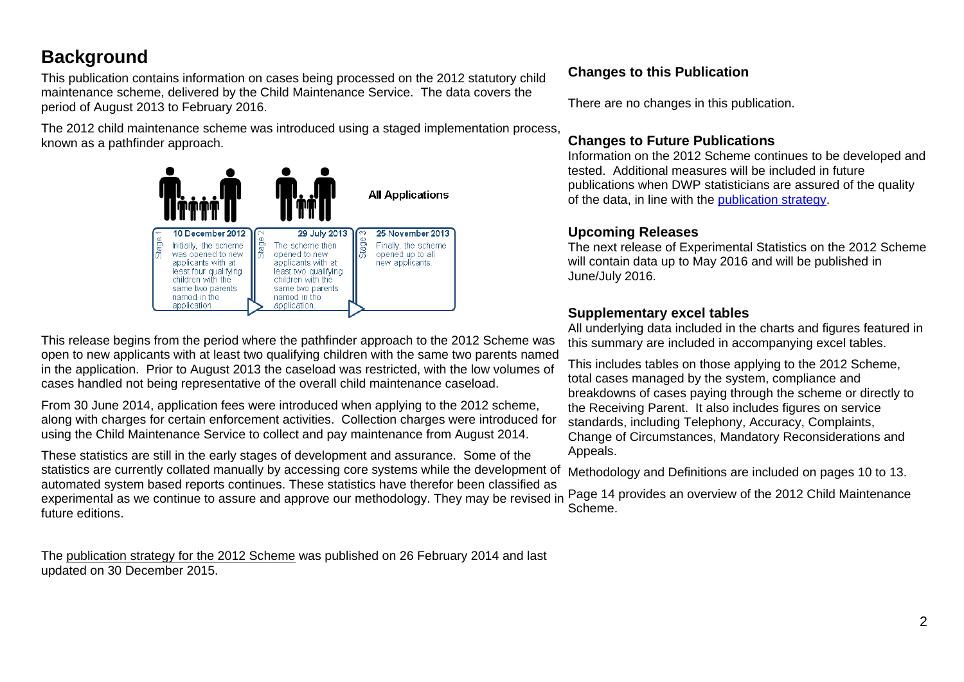## <span id="page-1-0"></span>**Background**

This publication contains information on cases being processed on the 2012 statutory child maintenance scheme, delivered by the Child Maintenance Service. The data covers the period of August 2013 to February 2016.

The 2012 child maintenance scheme was introduced using a staged implementation process, known as a pathfinder approach.



This release begins from the period where the pathfinder approach to the 2012 Scheme was open to new applicants with at least two qualifying children with the same two parents named in the application. Prior to August 2013 the caseload was restricted, with the low volumes of cases handled not being representative of the overall child maintenance caseload.

From 30 June 2014, application fees were introduced when applying to the 2012 scheme, along with charges for certain enforcement activities. Collection charges were introduced for using the Child Maintenance Service to collect and pay maintenance from August 2014.

These statistics are still in the early stages of development and assurance. Some of the statistics are currently collated manually by accessing core systems while the development of automated system based reports continues. These statistics have therefor been classified as experimental as we continue to assure and approve our methodology. They may be revised in future editions.

The [publication strategy for the 2012 Scheme](https://www.gov.uk/government/publications/publication-strategy-for-the-2012-scheme-administered-by-the-child-maintenance-service) was published on 26 February 2014 and last updated on 30 December 2015.

## **Changes to this Publication**

There are no changes in this publication.

## **Changes to Future Publications**

Information on the 2012 Scheme continues to be developed and tested. Additional measures will be included in future publications when DWP statisticians are assured of the quality of the data, in line with the [publication strategy.](https://www.gov.uk/government/publications/publication-strategy-for-the-2012-scheme-administered-by-the-child-maintenance-service)

## **Upcoming Releases**

The next release of Experimental Statistics on the 2012 Scheme will contain data up to May 2016 and will be published in June/July 2016.

## **Supplementary excel tables**

All underlying data included in the charts and figures featured in this summary are included in accompanying excel tables.

This includes tables on those applying to the 2012 Scheme, total cases managed by the system, compliance and breakdowns of cases paying through the scheme or directly to the Receiving Parent. It also includes figures on service standards, including Telephony, Accuracy, Complaints, Change of Circumstances, Mandatory Reconsiderations and Appeals.

Methodology and Definitions are included on pages 10 to 13.

<span id="page-1-1"></span>Page 14 provides an overview of the 2012 Child Maintenance Scheme.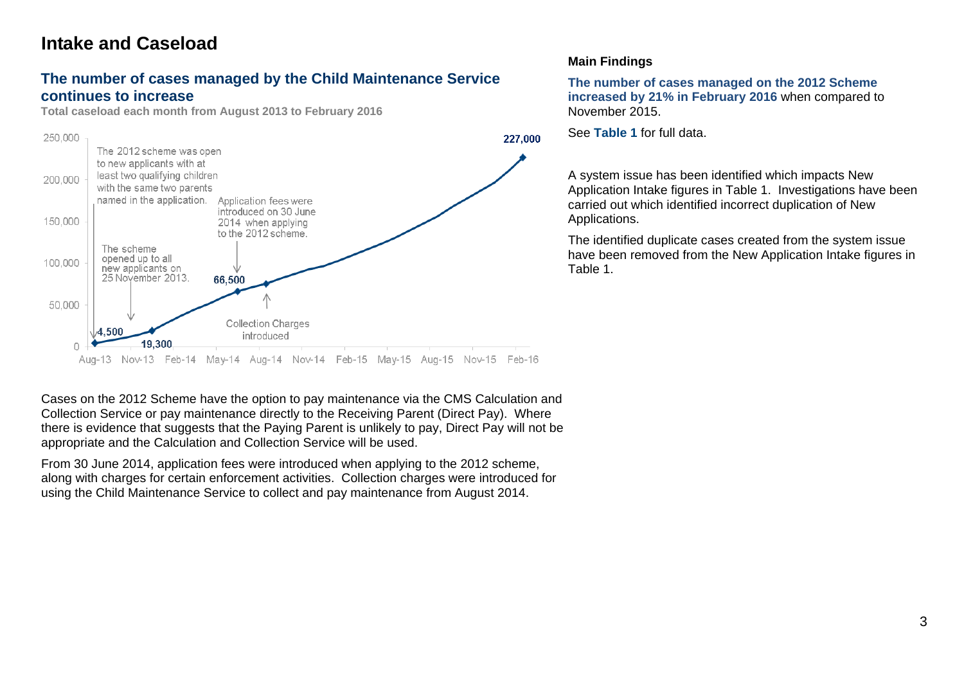## **Intake and Caseload**

### **The number of cases managed by the Child Maintenance Service continues to increase**

**Total caseload each month from August 2013 to February 2016**



Cases on the 2012 Scheme have the option to pay maintenance via the CMS Calculation and Collection Service or pay maintenance directly to the Receiving Parent (Direct Pay). Where there is evidence that suggests that the Paying Parent is unlikely to pay, Direct Pay will not be appropriate and the Calculation and Collection Service will be used.

From 30 June 2014, application fees were introduced when applying to the 2012 scheme, along with charges for certain enforcement activities. Collection charges were introduced for using the Child Maintenance Service to collect and pay maintenance from August 2014.

## **Main Findings**

**The number of cases managed on the 2012 Scheme increased by 21% in February 2016** when compared to November 2015.

See **Table 1** for full data.

A system issue has been identified which impacts New Application Intake figures in Table 1. Investigations have been carried out which identified incorrect duplication of New Applications.

The identified duplicate cases created from the system issue have been removed from the New Application Intake figures in Table 1.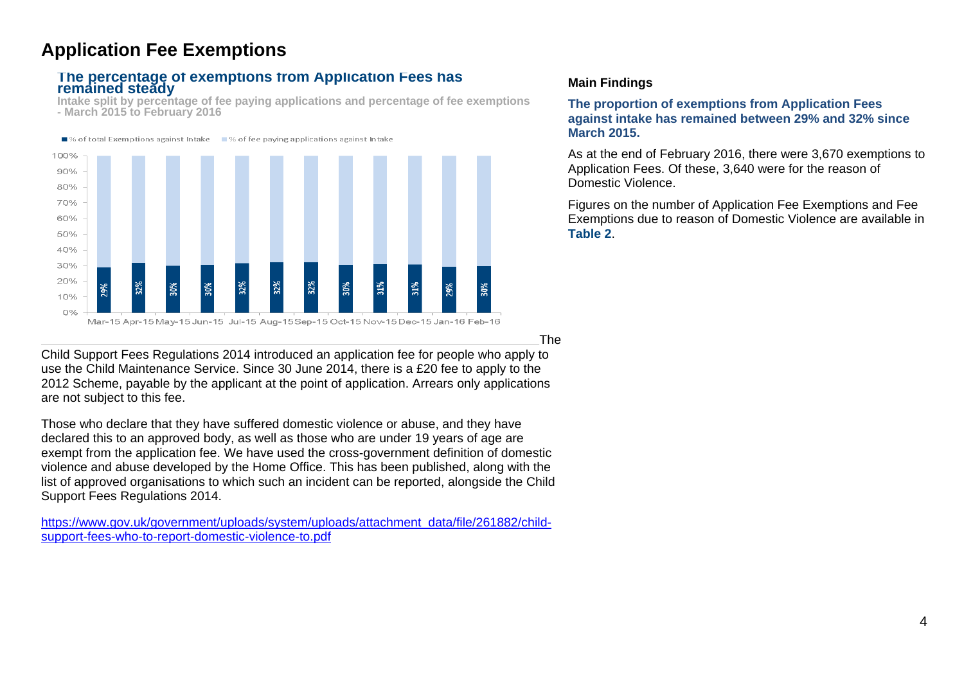## <span id="page-3-0"></span>**Application Fee Exemptions**

### **The percentage of exemptions from Application Fees has remained steady**

**Intake split by percentage of fee paying applications and percentage of fee exemptions - March 2015 to February 2016**



### **Main Findings**

**The proportion of exemptions from Application Fees against intake has remained between 29% and 32% since March 2015.** 

As at the end of February 2016, there were 3,670 exemptions to Application Fees. Of these, 3,640 were for the reason of Domestic Violence.

Figures on the number of Application Fee Exemptions and Fee Exemptions due to reason of Domestic Violence are available in **Table 2**.

The

Child Support Fees Regulations 2014 introduced an application fee for people who apply to use the Child Maintenance Service. Since 30 June 2014, there is a £20 fee to apply to the 2012 Scheme, payable by the applicant at the point of application. Arrears only applications are not subject to this fee.

Those who declare that they have suffered domestic violence or abuse, and they have declared this to an approved body, as well as those who are under 19 years of age are exempt from the application fee. We have used the cross-government definition of domestic violence and abuse developed by the Home Office. This has been published, along with the list of approved organisations to which such an incident can be reported, alongside the Child Support Fees Regulations 2014.

[https://www.gov.uk/government/uploads/system/uploads/attachment\\_data/file/261882/child](https://www.gov.uk/government/uploads/system/uploads/attachment_data/file/261882/child-support-fees-who-to-report-domestic-violence-to.pdf)[support-fees-who-to-report-domestic-violence-to.pdf](https://www.gov.uk/government/uploads/system/uploads/attachment_data/file/261882/child-support-fees-who-to-report-domestic-violence-to.pdf)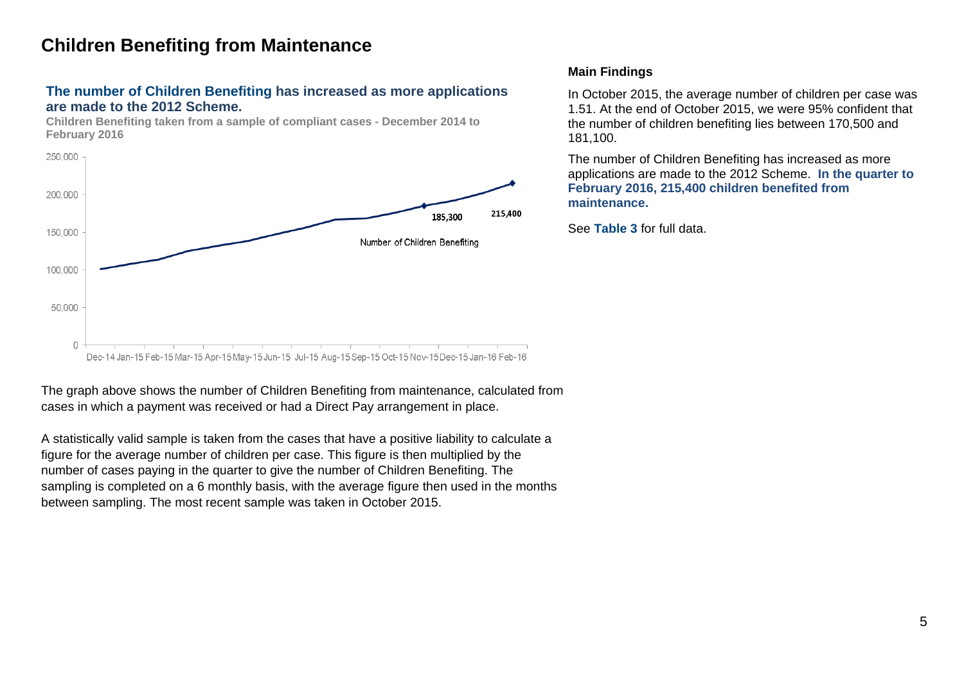## <span id="page-4-0"></span>**Children Benefiting from Maintenance**

## **The number of Children Benefiting has increased as more applications are made to the 2012 Scheme.**



**Children Benefiting taken from a sample of compliant cases - December 2014 to February 2016**

### The graph above shows the number of Children Benefiting from maintenance, calculated from cases in which a payment was received or had a Direct Pay arrangement in place.

A statistically valid sample is taken from the cases that have a positive liability to calculate a figure for the average number of children per case. This figure is then multiplied by the number of cases paying in the quarter to give the number of Children Benefiting. The sampling is completed on a 6 monthly basis, with the average figure then used in the months between sampling. The most recent sample was taken in October 2015.

## **Main Findings**

In October 2015, the average number of children per case was 1.51. At the end of October 2015, we were 95% confident that the number of children benefiting lies between 170,500 and 181,100.

The number of Children Benefiting has increased as more applications are made to the 2012 Scheme. **In the quarter to February 2016, 215,400 children benefited from maintenance.** 

See **Table 3** for full data.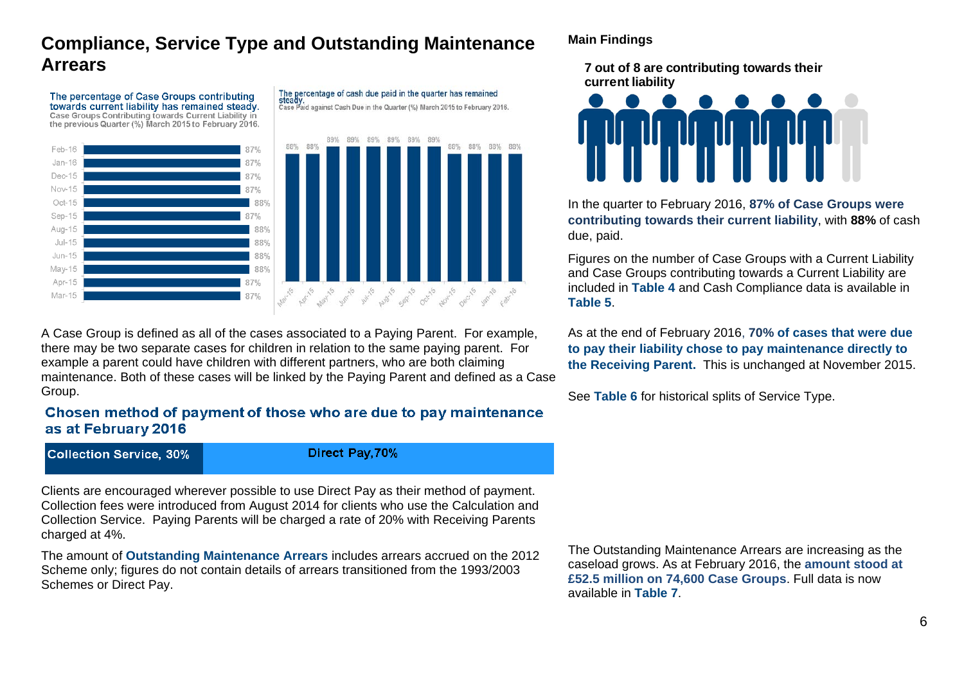## **Compliance, Service Type and Outstanding Maintenance Arrears**

The percentage of Case Groups contributing towards current liability has remained steady. Lower use Croups Contributing fowards Current Liability in<br>Case Groups Contributing towards Current Liability in<br>the previous Quarter (%) March 2015 to February 2016.



The percentage of cash due paid in the quarter has remained The percentage of cash the paid in the quarter has remained<br>Steady.<br>Case Paid against Cash Due in the Quarter (%) March 2015 to February 2016.



A Case Group is defined as all of the cases associated to a Paying Parent. For example, there may be two separate cases for children in relation to the same paying parent. For example a parent could have children with different partners, who are both claiming maintenance. Both of these cases will be linked by the Paying Parent and defined as a Case Group.

## Chosen method of payment of those who are due to pay maintenance as at February 2016

**Collection Service, 30%** 

Direct Pay, 70%

Clients are encouraged wherever possible to use Direct Pay as their method of payment. Collection fees were introduced from August 2014 for clients who use the Calculation and Collection Service. Paying Parents will be charged a rate of 20% with Receiving Parents charged at 4%.

The amount of **Outstanding Maintenance Arrears** includes arrears accrued on the 2012 Scheme only; figures do not contain details of arrears transitioned from the 1993/2003 Schemes or Direct Pay.

## **Main Findings**

**7 out of 8 are contributing towards their current liability**



In the quarter to February 2016, **87% of Case Groups were contributing towards their current liability**, with **88%** of cash due, paid.

Figures on the number of Case Groups with a Current Liability and Case Groups contributing towards a Current Liability are included in **Table 4** and Cash Compliance data is available in **Table 5**.

As at the end of February 2016, **70% of cases that were due to pay their liability chose to pay maintenance directly to the Receiving Parent.** This is unchanged at November 2015.

See **Table 6** for historical splits of Service Type.

The Outstanding Maintenance Arrears are increasing as the caseload grows. As at February 2016, the **amount stood at £52.5 million on 74,600 Case Groups**. Full data is now available in **Table 7**.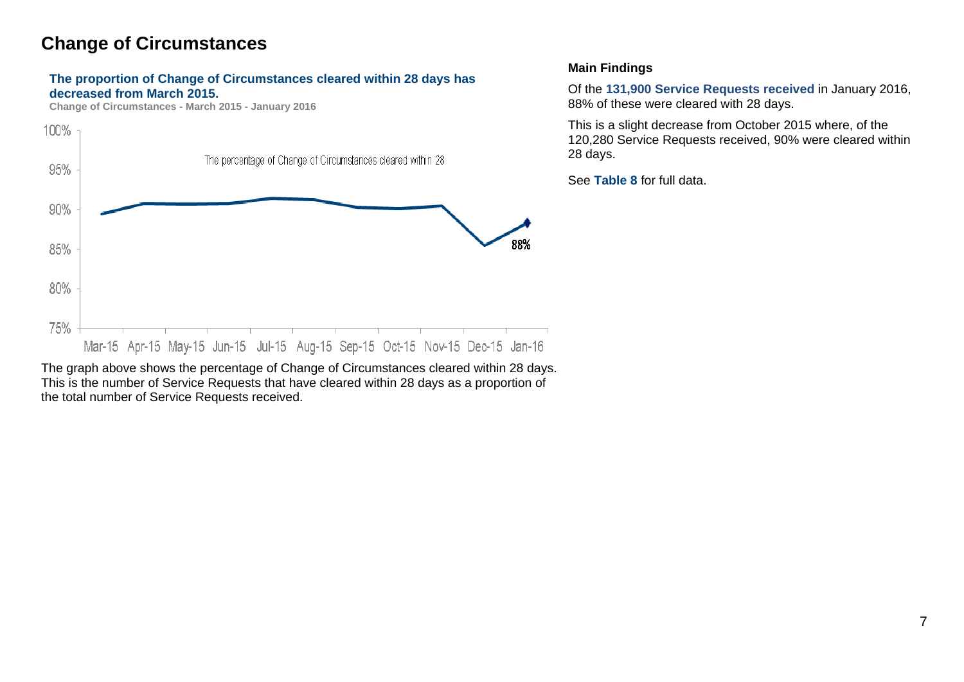## **Change of Circumstances**

### **The proportion of Change of Circumstances cleared within 28 days has decreased from March 2015.**

**Change of Circumstances - March 2015 - January 2016**



The graph above shows the percentage of Change of Circumstances cleared within 28 days. This is the number of Service Requests that have cleared within 28 days as a proportion of the total number of Service Requests received.

### <span id="page-6-0"></span>**Main Findings**

Of the **131,900 Service Requests received** in January 2016, 88% of these were cleared with 28 days.

This is a slight decrease from October 2015 where, of the 120,280 Service Requests received, 90% were cleared within 28 days.

<span id="page-6-1"></span>See **Table 8** for full data.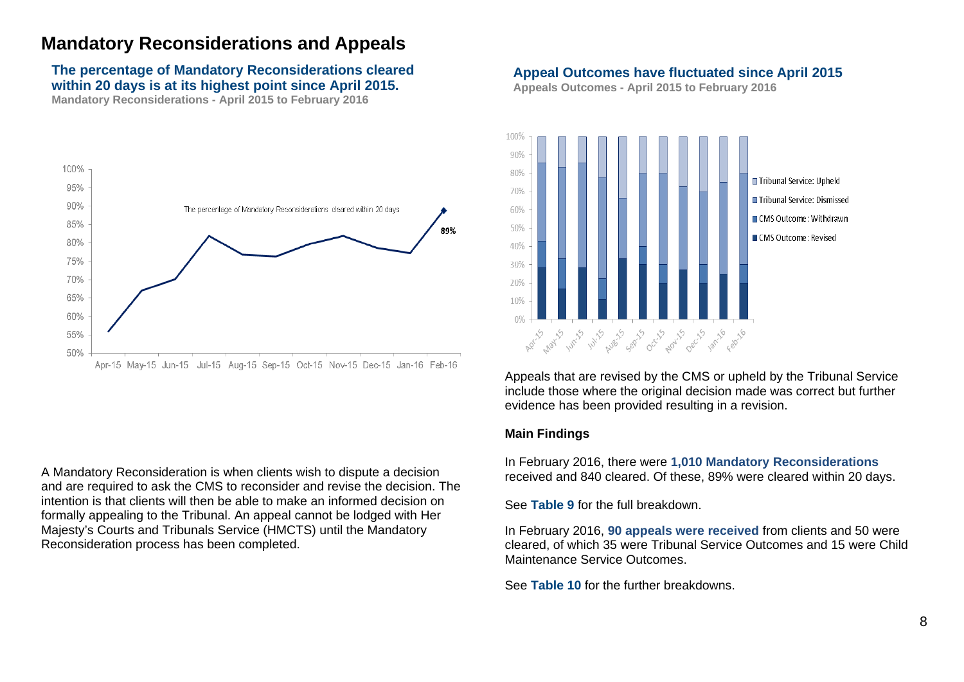## **Mandatory Reconsiderations and Appeals**

## **The percentage of Mandatory Reconsiderations cleared within 20 days is at its highest point since April 2015.**

**Mandatory Reconsiderations - April 2015 to February 2016**



A Mandatory Reconsideration is when clients wish to dispute a decision and are required to ask the CMS to reconsider and revise the decision. The intention is that clients will then be able to make an informed decision on formally appealing to the Tribunal. An appeal cannot be lodged with Her Majesty's Courts and Tribunals Service (HMCTS) until the Mandatory Reconsideration process has been completed.

### **Appeal Outcomes have fluctuated since April 2015**

**Appeals Outcomes - April 2015 to February 2016**



Appeals that are revised by the CMS or upheld by the Tribunal Service include those where the original decision made was correct but further evidence has been provided resulting in a revision.

#### **Main Findings**

In February 2016, there were **1,010 Mandatory Reconsiderations** received and 840 cleared. Of these, 89% were cleared within 20 days.

See **Table 9** for the full breakdown.

In February 2016, **90 appeals were received** from clients and 50 were cleared, of which 35 were Tribunal Service Outcomes and 15 were Child Maintenance Service Outcomes.

See **Table 10** for the further breakdowns.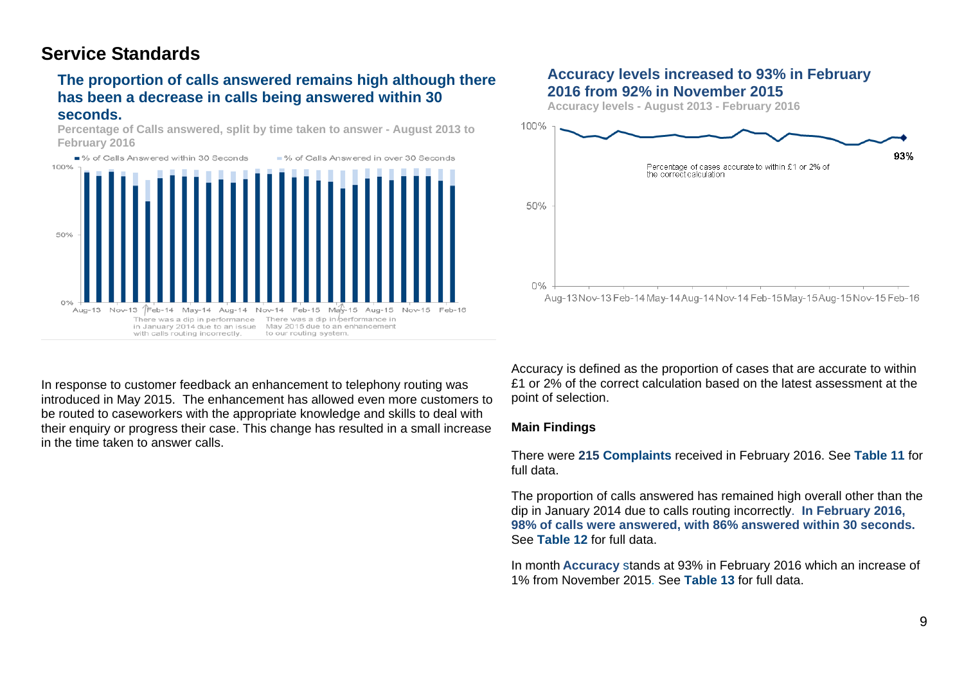## <span id="page-8-0"></span>**Service Standards**

## **The proportion of calls answered remains high although there has been a decrease in calls being answered within 30 seconds.**

**Percentage of Calls answered, split by time taken to answer - August 2013 to February 2016**



## **Accuracy levels increased to 93% in February 2016 from 92% in November 2015**

**Accuracy levels - August 2013 - February 2016**



In response to customer feedback an enhancement to telephony routing was introduced in May 2015. The enhancement has allowed even more customers to be routed to caseworkers with the appropriate knowledge and skills to deal with their enquiry or progress their case. This change has resulted in a small increase in the time taken to answer calls.

Accuracy is defined as the proportion of cases that are accurate to within £1 or 2% of the correct calculation based on the latest assessment at the point of selection.

### **Main Findings**

There were **215 Complaints** received in February 2016. See **Table 11** for full data.

The proportion of calls answered has remained high overall other than the dip in January 2014 due to calls routing incorrectly. **In February 2016, 98% of calls were answered, with 86% answered within 30 seconds.** See **Table 12** for full data.

In month **Accuracy** stands at 93% in February 2016 which an increase of 1% from November 2015. See **Table 13** for full data.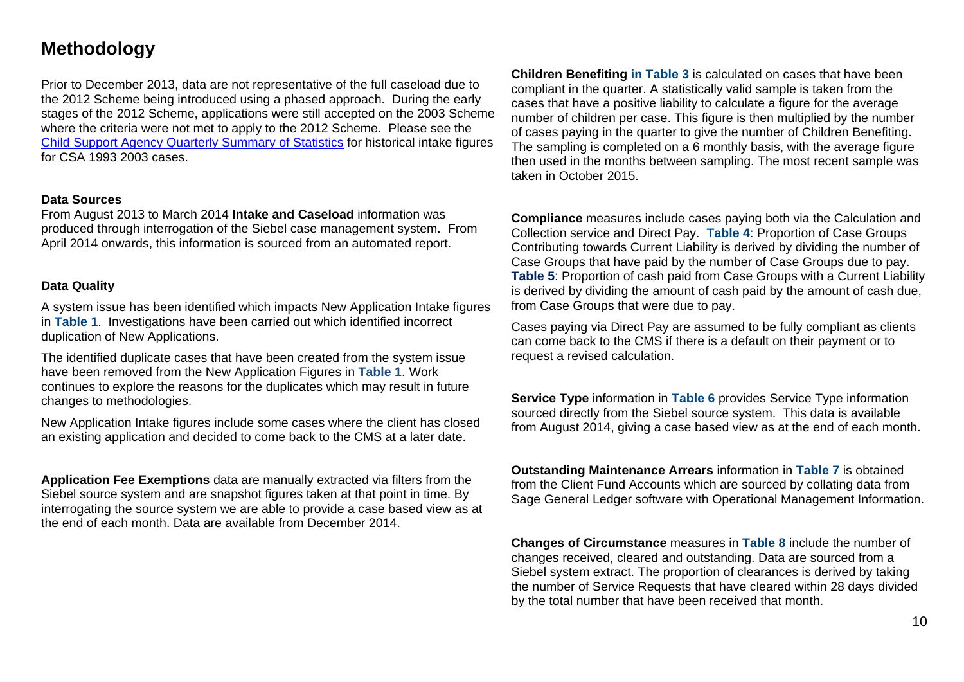## <span id="page-9-0"></span>**Methodology**

Prior to December 2013, data are not representative of the full caseload due to the 2012 Scheme being introduced using a phased approach. During the early stages of the 2012 Scheme, applications were still accepted on the 2003 Scheme where the criteria were not met to apply to the 2012 Scheme. Please see the [Child Support Agency Quarterly Summary of Statistics](https://www.gov.uk/government/collections/child-support-agency-quarterly-summary-statistics--2) for historical intake figures for CSA 1993 2003 cases.

### **Data Sources**

From August 2013 to March 2014 **Intake and Caseload** information was produced through interrogation of the Siebel case management system. From April 2014 onwards, this information is sourced from an automated report.

### **Data Quality**

A system issue has been identified which impacts New Application Intake figures in **Table 1**. Investigations have been carried out which identified incorrect duplication of New Applications.

The identified duplicate cases that have been created from the system issue have been removed from the New Application Figures in **Table 1**. Work continues to explore the reasons for the duplicates which may result in future changes to methodologies.

New Application Intake figures include some cases where the client has closed an existing application and decided to come back to the CMS at a later date.

**Application Fee Exemptions** data are manually extracted via filters from the Siebel source system and are snapshot figures taken at that point in time. By interrogating the source system we are able to provide a case based view as at the end of each month. Data are available from December 2014.

**Children Benefiting in Table 3** is calculated on cases that have been compliant in the quarter. A statistically valid sample is taken from the cases that have a positive liability to calculate a figure for the average number of children per case. This figure is then multiplied by the number of cases paying in the quarter to give the number of Children Benefiting. The sampling is completed on a 6 monthly basis, with the average figure then used in the months between sampling. The most recent sample was taken in October 2015.

**Compliance** measures include cases paying both via the Calculation and Collection service and Direct Pay. **Table 4**: Proportion of Case Groups Contributing towards Current Liability is derived by dividing the number of Case Groups that have paid by the number of Case Groups due to pay. **Table 5**: Proportion of cash paid from Case Groups with a Current Liability is derived by dividing the amount of cash paid by the amount of cash due, from Case Groups that were due to pay.

Cases paying via Direct Pay are assumed to be fully compliant as clients can come back to the CMS if there is a default on their payment or to request a revised calculation.

**Service Type** information in **Table 6** provides Service Type information sourced directly from the Siebel source system. This data is available from August 2014, giving a case based view as at the end of each month.

**Outstanding Maintenance Arrears** information in **Table 7** is obtained from the Client Fund Accounts which are sourced by collating data from Sage General Ledger software with Operational Management Information.

**Changes of Circumstance** measures in **Table 8** include the number of changes received, cleared and outstanding. Data are sourced from a Siebel system extract. The proportion of clearances is derived by taking the number of Service Requests that have cleared within 28 days divided by the total number that have been received that month.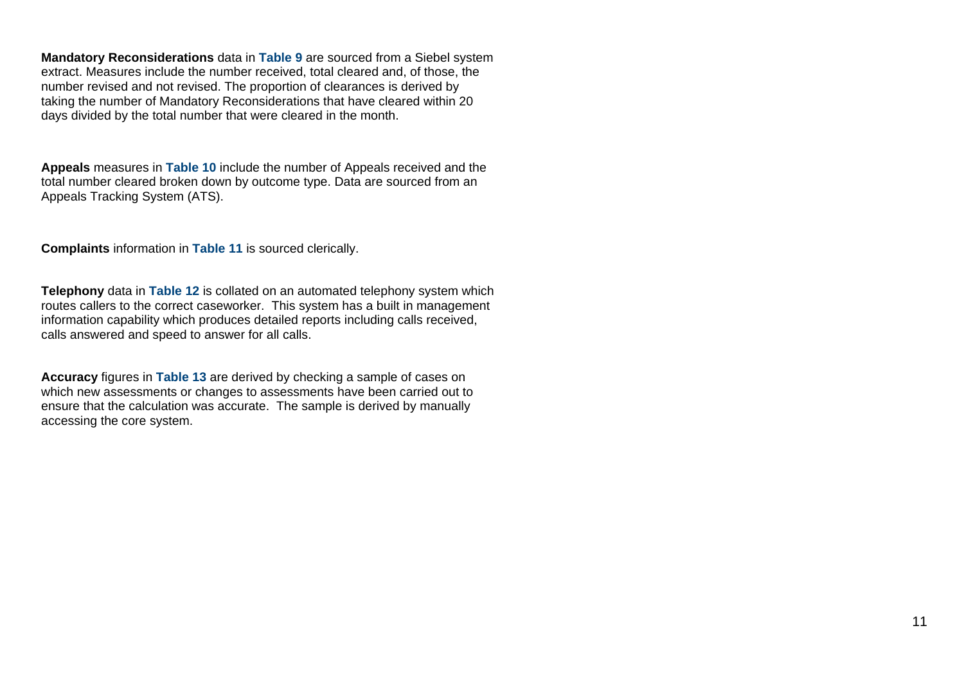**Mandatory Reconsiderations** data in **Table 9** are sourced from a Siebel system extract. Measures include the number received, total cleared and, of those, the number revised and not revised. The proportion of clearances is derived by taking the number of Mandatory Reconsiderations that have cleared within 20 days divided by the total number that were cleared in the month.

**Appeals** measures in **Table 10** include the number of Appeals received and the total number cleared broken down by outcome type. Data are sourced from an Appeals Tracking System (ATS).

**Complaints** information in **Table 11** is sourced clerically.

**Telephony** data in **Table 12** is collated on an automated telephony system which routes callers to the correct caseworker. This system has a built in management information capability which produces detailed reports including calls received, calls answered and speed to answer for all calls.

**Accuracy** figures in **Table 13** are derived by checking a sample of cases on which new assessments or changes to assessments have been carried out to ensure that the calculation was accurate. The sample is derived by manually accessing the core system.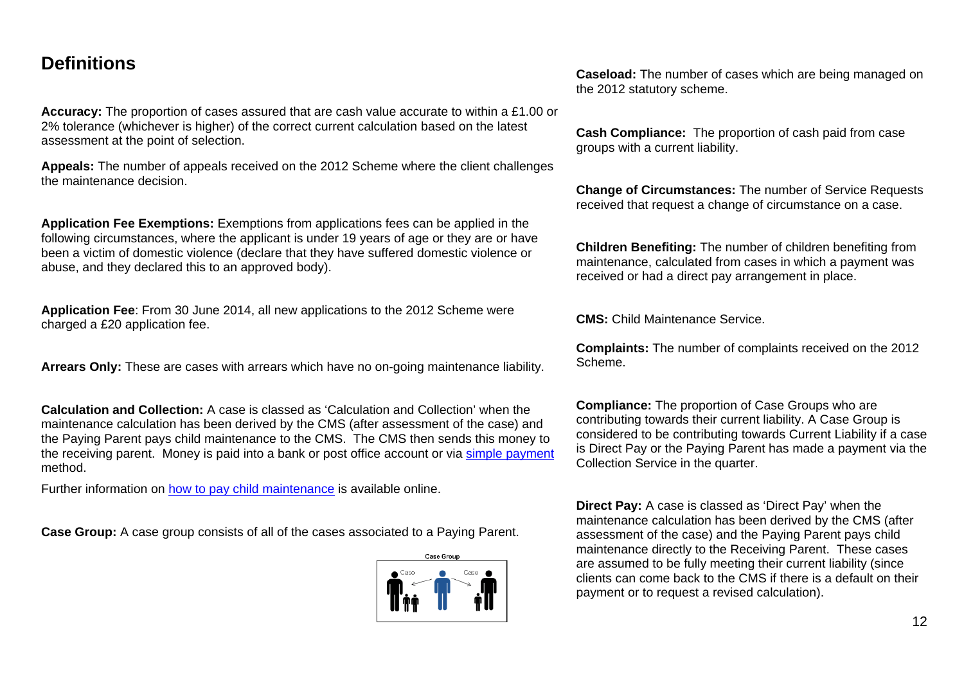## <span id="page-11-0"></span>**Definitions**

**Accuracy:** The proportion of cases assured that are cash value accurate to within a £1.00 or 2% tolerance (whichever is higher) of the correct current calculation based on the latest assessment at the point of selection.

**Appeals:** The number of appeals received on the 2012 Scheme where the client challenges the maintenance decision.

**Application Fee Exemptions:** Exemptions from applications fees can be applied in the following circumstances, where the applicant is under 19 years of age or they are or have been a victim of domestic violence (declare that they have suffered domestic violence or abuse, and they declared this to an approved body).

**Application Fee**: From 30 June 2014, all new applications to the 2012 Scheme were charged a £20 application fee.

**Arrears Only:** These are cases with arrears which have no on-going maintenance liability.

**Calculation and Collection:** A case is classed as 'Calculation and Collection' when the maintenance calculation has been derived by the CMS (after assessment of the case) and the Paying Parent pays child maintenance to the CMS. The CMS then sends this money to the receiving parent. Money is paid into a bank or post office account or via [simple payment](https://www.gov.uk/simple-payment) method.

Further information on [how to pay child maintenance](https://www.gov.uk/child-maintenance/how-to-pay) is available online.

**Case Group:** A case group consists of all of the cases associated to a Paying Parent.



**Caseload:** The number of cases which are being managed on the 2012 statutory scheme.

**Cash Compliance:** The proportion of cash paid from case groups with a current liability.

**Change of Circumstances:** The number of Service Requests received that request a change of circumstance on a case.

**Children Benefiting:** The number of children benefiting from maintenance, calculated from cases in which a payment was received or had a direct pay arrangement in place.

**CMS:** Child Maintenance Service.

**Complaints:** The number of complaints received on the 2012 Scheme.

**Compliance:** The proportion of Case Groups who are contributing towards their current liability. A Case Group is considered to be contributing towards Current Liability if a case is Direct Pay or the Paying Parent has made a payment via the Collection Service in the quarter.

**Direct Pay:** A case is classed as 'Direct Pay' when the maintenance calculation has been derived by the CMS (after assessment of the case) and the Paying Parent pays child maintenance directly to the Receiving Parent. These cases are assumed to be fully meeting their current liability (since clients can come back to the CMS if there is a default on their payment or to request a revised calculation).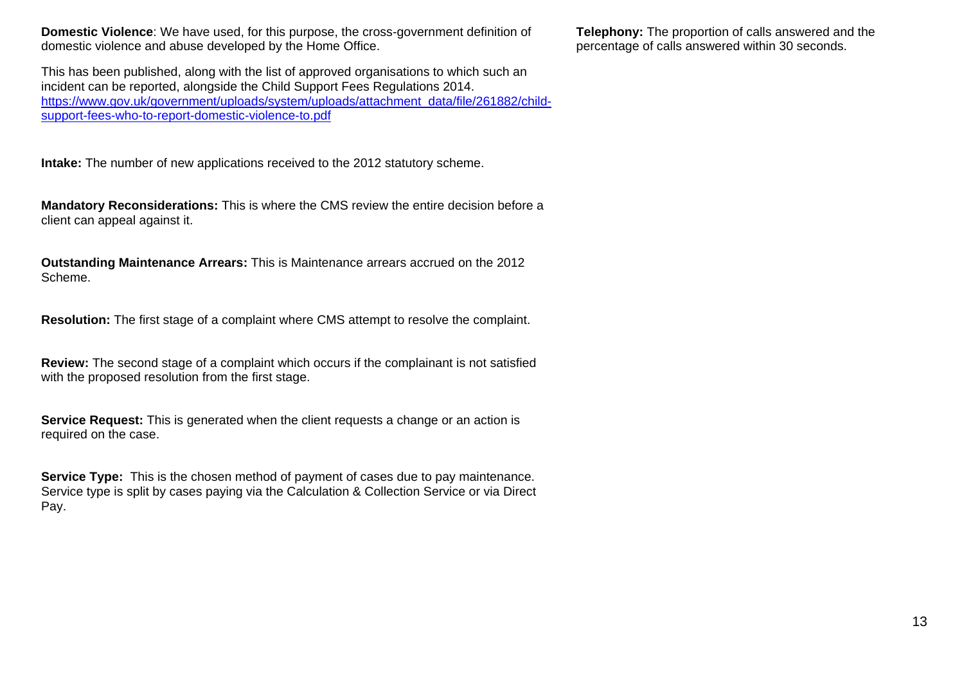**Domestic Violence**: We have used, for this purpose, the cross-government definition of domestic violence and abuse developed by the Home Office.

This has been published, along with the list of approved organisations to which such an incident can be reported, alongside the Child Support Fees Regulations 2014. [https://www.gov.uk/government/uploads/system/uploads/attachment\\_data/file/261882/child](https://www.gov.uk/government/uploads/system/uploads/attachment_data/file/261882/child-support-fees-who-to-report-domestic-violence-to.pdf)[support-fees-who-to-report-domestic-violence-to.pdf](https://www.gov.uk/government/uploads/system/uploads/attachment_data/file/261882/child-support-fees-who-to-report-domestic-violence-to.pdf)

**Intake:** The number of new applications received to the 2012 statutory scheme.

**Mandatory Reconsiderations:** This is where the CMS review the entire decision before a client can appeal against it.

**Outstanding Maintenance Arrears:** This is Maintenance arrears accrued on the 2012 Scheme.

**Resolution:** The first stage of a complaint where CMS attempt to resolve the complaint.

**Review:** The second stage of a complaint which occurs if the complainant is not satisfied with the proposed resolution from the first stage.

**Service Request:** This is generated when the client requests a change or an action is required on the case.

**Service Type:** This is the chosen method of payment of cases due to pay maintenance. Service type is split by cases paying via the Calculation & Collection Service or via Direct Pay.

**Telephony:** The proportion of calls answered and the percentage of calls answered within 30 seconds.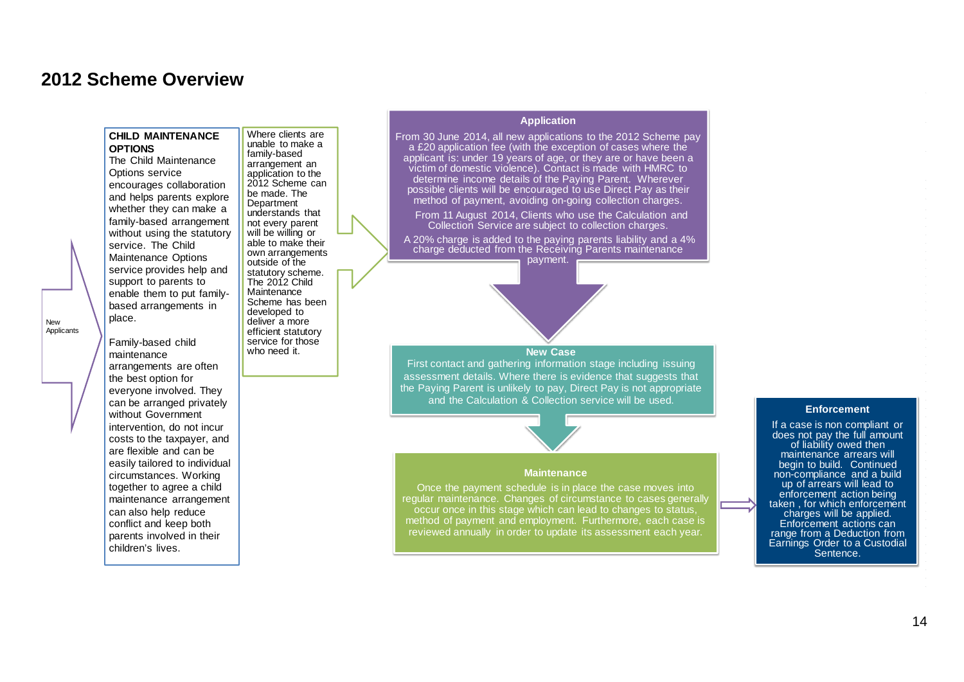## <span id="page-13-0"></span>**2012 Scheme Overview**

#### **CHILD MAINTENANCE OPTIONS**

The Child Maintenance Options service encourages collaboration and helps parents explore whether they can make a family-based arrangement without using the statutory service. The Child Maintenance Options service provides help and support to parents to enable them to put familybased arrangements in place.

Where clients are unable to make a family-based arrangement an application to the 2012 Scheme can be made. The Department understands that not every parent will be willing or able to make their own arrangements outside of the statutory scheme. The 2012 Child **Maintenance** Scheme has been developed to deliver a more efficient statutory service for those who need it.

New Applicants

Family-based child maintenance arrangements are often the best option for everyone involved. They can be arranged privately without Government intervention, do not incur costs to the taxpayer, and are flexible and can be easily tailored to individual circumstances. Working together to agree a child maintenance arrangement can also help reduce conflict and keep both parents involved in their children's lives.

### **Application Stage to Receiving Maintenance Application**

From 30 June 2014, all new applications to the 2012 Scheme pay a £20 application fee (with the exception of cases where the applicant is: under 19 years of age, or they are or have been a victim of domestic violence). Contact is made with HMRC to determine income details of the Paying Parent. Wherever possible clients will be encouraged to use Direct Pay as their method of payment, avoiding on-going collection charges.

From 11 August 2014, Clients who use the Calculation and Collection Service are subject to collection charges.

A 20% charge is added to the paying parents liability and a 4% charge deducted from the Receiving Parents maintenance payment.



#### **New Case**

First contact and gathering information stage including issuing assessment details. Where there is evidence that suggests that the Paying Parent is unlikely to pay, Direct Pay is not appropriate and the Calculation & Collection service will be used.

#### **Maintenance**

Once the payment schedule is in place the case moves into regular maintenance. Changes of circumstance to cases generally occur once in this stage which can lead to changes to status, method of payment and employment. Furthermore, each case is reviewed annually in order to update its assessment each year.

#### **Enforcement**

If a case is non compliant or does not pay the full amount of liability owed then maintenance arrears will begin to build. Continued non-compliance and a build up of arrears will lead to enforcement action being taken , for which enforcement charges will be applied. Enforcement actions can range from a Deduction from Earnings Order to a Custodial<br>Sentence.